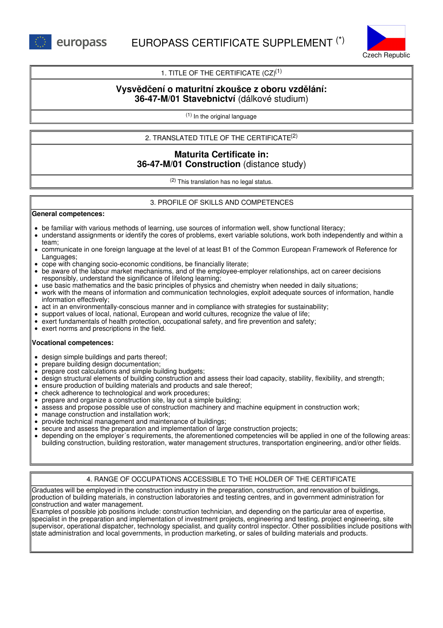

# 1. TITLE OF THE CERTIFICATE  $(CZ)^{(1)}$

# **Vysvědčení o maturitní zkoušce z oboru vzdělání: 36-47-M/01 Stavebnictví** (dálkové studium)

(1) In the original language

2. TRANSLATED TITLE OF THE CERTIFICATE (2)

# **Maturita Certificate in: 36-47-M/01 Construction** (distance study)

(2) This translation has no legal status.

## 3. PROFILE OF SKILLS AND COMPETENCES

#### **General competences:**

- be familiar with various methods of learning, use sources of information well, show functional literacy;
- understand assignments or identify the cores of problems, exert variable solutions, work both independently and within a team;
- communicate in one foreign language at the level of at least B1 of the Common European Framework of Reference for Languages;
- cope with changing socio-economic conditions, be financially literate;
- be aware of the labour market mechanisms, and of the employee-employer relationships, act on career decisions responsibly, understand the significance of lifelong learning;
- use basic mathematics and the basic principles of physics and chemistry when needed in daily situations;
- work with the means of information and communication technologies, exploit adequate sources of information, handle information effectively;
- act in an environmentally-conscious manner and in compliance with strategies for sustainability;
- support values of local, national, European and world cultures, recognize the value of life;
- $\bullet$  exert fundamentals of health protection, occupational safety, and fire prevention and safety;
- exert norms and prescriptions in the field.

#### **Vocational competences:**

- design simple buildings and parts thereof;
- prepare building design documentation;
- prepare cost calculations and simple building budgets;  $\bullet$
- design structural elements of building construction and assess their load capacity, stability, flexibility, and strength;
- ensure production of building materials and products and sale thereof;
- check adherence to technological and work procedures;
- prepare and organize a construction site, lay out a simple building;
- assess and propose possible use of construction machinery and machine equipment in construction work;
- manage construction and installation work;
- provide technical management and maintenance of buildings;
- secure and assess the preparation and implementation of large construction projects;
- depending on the employer´s requirements, the aforementioned competencies will be applied in one of the following areas: building construction, building restoration, water management structures, transportation engineering, and/or other fields.

## 4. RANGE OF OCCUPATIONS ACCESSIBLE TO THE HOLDER OF THE CERTIFICATE

Graduates will be employed in the construction industry in the preparation, construction, and renovation of buildings, production of building materials, in construction laboratories and testing centres, and in government administration for construction and water management.

Examples of possible job positions include: construction technician, and depending on the particular area of expertise, specialist in the preparation and implementation of investment projects, engineering and testing, project engineering, site supervisor, operational dispatcher, technology specialist, and quality control inspector. Other possibilities include positions with state administration and local governments, in production marketing, or sales of building materials and products.